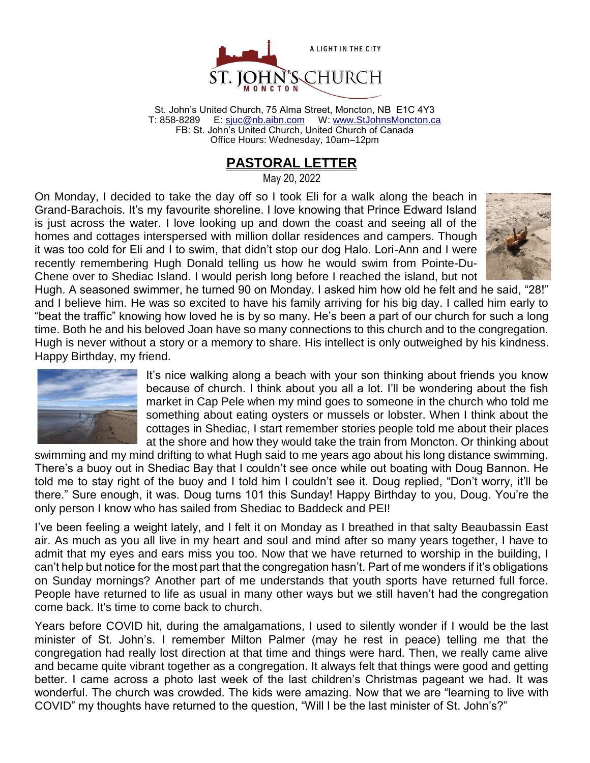

St. John's United Church, 75 Alma Street, Moncton, NB E1C 4Y3 T: 858-8289 E: [sjuc@nb.aibn.com](mailto:sjuc@nb.aibn.com) W: [www.StJohnsMoncton.ca](http://www.stjohnsmoncton.ca/) FB: St. John's United Church, United Church of Canada Office Hours: Wednesday, 10am–12pm

## **PASTORAL LETTER**

May 20, 2022

On Monday, I decided to take the day off so I took Eli for a walk along the beach in Grand-Barachois. It's my favourite shoreline. I love knowing that Prince Edward Island is just across the water. I love looking up and down the coast and seeing all of the homes and cottages interspersed with million dollar residences and campers. Though it was too cold for Eli and I to swim, that didn't stop our dog Halo. Lori-Ann and I were recently remembering Hugh Donald telling us how he would swim from Pointe-Du-Chene over to Shediac Island. I would perish long before I reached the island, but not



Hugh. A seasoned swimmer, he turned 90 on Monday. I asked him how old he felt and he said, "28!" and I believe him. He was so excited to have his family arriving for his big day. I called him early to "beat the traffic" knowing how loved he is by so many. He's been a part of our church for such a long time. Both he and his beloved Joan have so many connections to this church and to the congregation. Hugh is never without a story or a memory to share. His intellect is only outweighed by his kindness. Happy Birthday, my friend.



It's nice walking along a beach with your son thinking about friends you know because of church. I think about you all a lot. I'll be wondering about the fish market in Cap Pele when my mind goes to someone in the church who told me something about eating oysters or mussels or lobster. When I think about the cottages in Shediac, I start remember stories people told me about their places at the shore and how they would take the train from Moncton. Or thinking about

swimming and my mind drifting to what Hugh said to me years ago about his long distance swimming. There's a buoy out in Shediac Bay that I couldn't see once while out boating with Doug Bannon. He told me to stay right of the buoy and I told him I couldn't see it. Doug replied, "Don't worry, it'll be there." Sure enough, it was. Doug turns 101 this Sunday! Happy Birthday to you, Doug. You're the only person I know who has sailed from Shediac to Baddeck and PEI!

I've been feeling a weight lately, and I felt it on Monday as I breathed in that salty Beaubassin East air. As much as you all live in my heart and soul and mind after so many years together, I have to admit that my eyes and ears miss you too. Now that we have returned to worship in the building, I can't help but notice for the most part that the congregation hasn't. Part of me wonders if it's obligations on Sunday mornings? Another part of me understands that youth sports have returned full force. People have returned to life as usual in many other ways but we still haven't had the congregation come back. It's time to come back to church.

Years before COVID hit, during the amalgamations, I used to silently wonder if I would be the last minister of St. John's. I remember Milton Palmer (may he rest in peace) telling me that the congregation had really lost direction at that time and things were hard. Then, we really came alive and became quite vibrant together as a congregation. It always felt that things were good and getting better. I came across a photo last week of the last children's Christmas pageant we had. It was wonderful. The church was crowded. The kids were amazing. Now that we are "learning to live with COVID" my thoughts have returned to the question, "Will I be the last minister of St. John's?"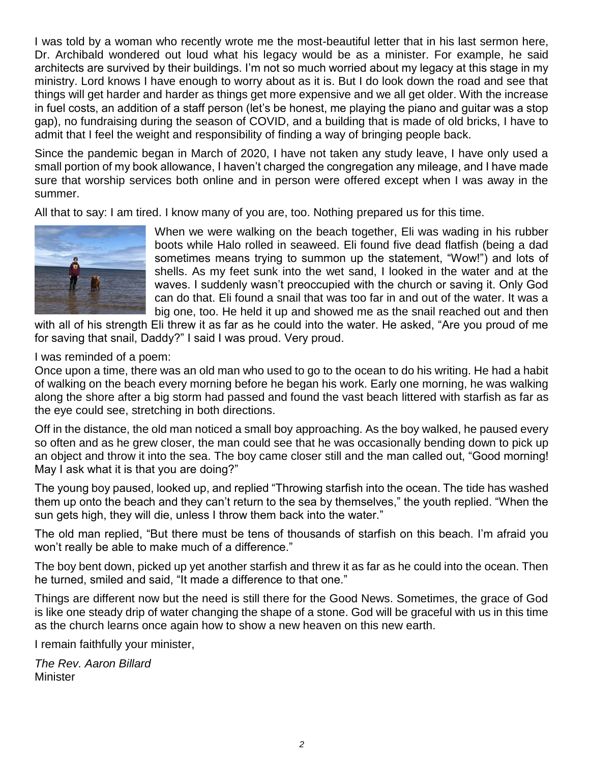I was told by a woman who recently wrote me the most-beautiful letter that in his last sermon here, Dr. Archibald wondered out loud what his legacy would be as a minister. For example, he said architects are survived by their buildings. I'm not so much worried about my legacy at this stage in my ministry. Lord knows I have enough to worry about as it is. But I do look down the road and see that things will get harder and harder as things get more expensive and we all get older. With the increase in fuel costs, an addition of a staff person (let's be honest, me playing the piano and guitar was a stop gap), no fundraising during the season of COVID, and a building that is made of old bricks, I have to admit that I feel the weight and responsibility of finding a way of bringing people back.

Since the pandemic began in March of 2020, I have not taken any study leave, I have only used a small portion of my book allowance, I haven't charged the congregation any mileage, and I have made sure that worship services both online and in person were offered except when I was away in the summer.

All that to say: I am tired. I know many of you are, too. Nothing prepared us for this time.



When we were walking on the beach together, Eli was wading in his rubber boots while Halo rolled in seaweed. Eli found five dead flatfish (being a dad sometimes means trying to summon up the statement, "Wow!") and lots of shells. As my feet sunk into the wet sand, I looked in the water and at the waves. I suddenly wasn't preoccupied with the church or saving it. Only God can do that. Eli found a snail that was too far in and out of the water. It was a big one, too. He held it up and showed me as the snail reached out and then

with all of his strength Eli threw it as far as he could into the water. He asked, "Are you proud of me for saving that snail, Daddy?" I said I was proud. Very proud.

#### I was reminded of a poem:

Once upon a time, there was an old man who used to go to the ocean to do his writing. He had a habit of walking on the beach every morning before he began his work. Early one morning, he was walking along the shore after a big storm had passed and found the vast beach littered with starfish as far as the eye could see, stretching in both directions.

Off in the distance, the old man noticed a small boy approaching. As the boy walked, he paused every so often and as he grew closer, the man could see that he was occasionally bending down to pick up an object and throw it into the sea. The boy came closer still and the man called out, "Good morning! May I ask what it is that you are doing?"

The young boy paused, looked up, and replied "Throwing starfish into the ocean. The tide has washed them up onto the beach and they can't return to the sea by themselves," the youth replied. "When the sun gets high, they will die, unless I throw them back into the water."

The old man replied, "But there must be tens of thousands of starfish on this beach. I'm afraid you won't really be able to make much of a difference."

The boy bent down, picked up yet another starfish and threw it as far as he could into the ocean. Then he turned, smiled and said, "It made a difference to that one."

Things are different now but the need is still there for the Good News. Sometimes, the grace of God is like one steady drip of water changing the shape of a stone. God will be graceful with us in this time as the church learns once again how to show a new heaven on this new earth.

I remain faithfully your minister,

*The Rev. Aaron Billard* **Minister**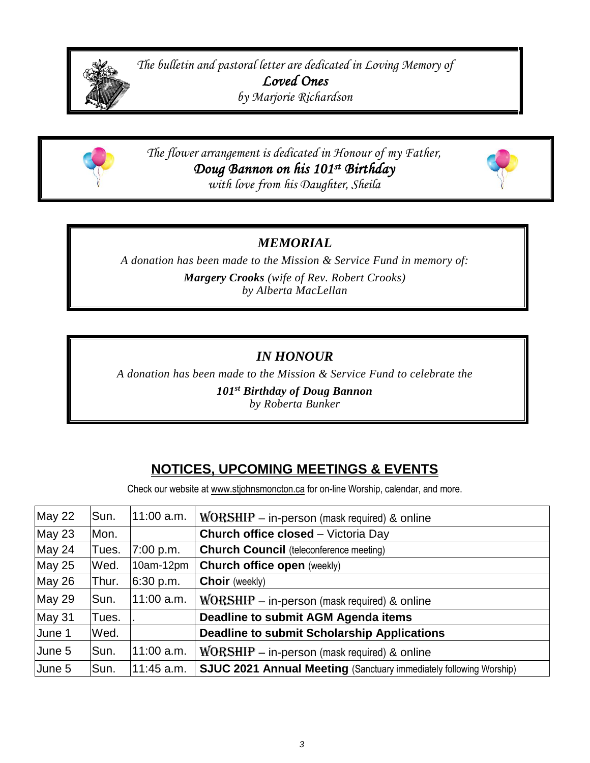

*The bulletin and pastoral letter are dedicated in Loving Memory of Loved Ones by Marjorie Richardson*



*The flower arrangement is dedicated in Honour of my Father, Doug Bannon on his 101st Birthday with love from his Daughter, Sheila*



### *MEMORIAL*

*A donation has been made to the Mission & Service Fund in memory of: Margery Crooks (wife of Rev. Robert Crooks) by Alberta MacLellan*

## *IN HONOUR*

*A donation has been made to the Mission & Service Fund to celebrate the*

*101st Birthday of Doug Bannon*

*by Roberta Bunker*

# **NOTICES, UPCOMING MEETINGS & EVENTS**

Check our website at www.stjohnsmoncton.ca for on-line Worship, calendar, and more.

| May 22 | Sun.  | $11:00$ a.m. | $WORSHIP$ – in-person (mask required) & online                            |
|--------|-------|--------------|---------------------------------------------------------------------------|
| May 23 | Mon.  |              | <b>Church office closed</b> – Victoria Day                                |
| May 24 | Tues. | 7:00 p.m.    | <b>Church Council</b> (teleconference meeting)                            |
| May 25 | Wed.  | 10am-12pm    | <b>Church office open (weekly)</b>                                        |
| May 26 | Thur. | 6:30 p.m.    | <b>Choir</b> (weekly)                                                     |
| May 29 | Sun.  | $11:00$ a.m. | $WORSHIP$ – in-person (mask required) & online                            |
| May 31 | Tues. |              | <b>Deadline to submit AGM Agenda items</b>                                |
| June 1 | Wed.  |              | <b>Deadline to submit Scholarship Applications</b>                        |
| June 5 | Sun.  | $11:00$ a.m. | $WORSHIP - in-person$ (mask required) & online                            |
| June 5 | Sun.  | 11:45 a.m.   | <b>SJUC 2021 Annual Meeting (Sanctuary immediately following Worship)</b> |